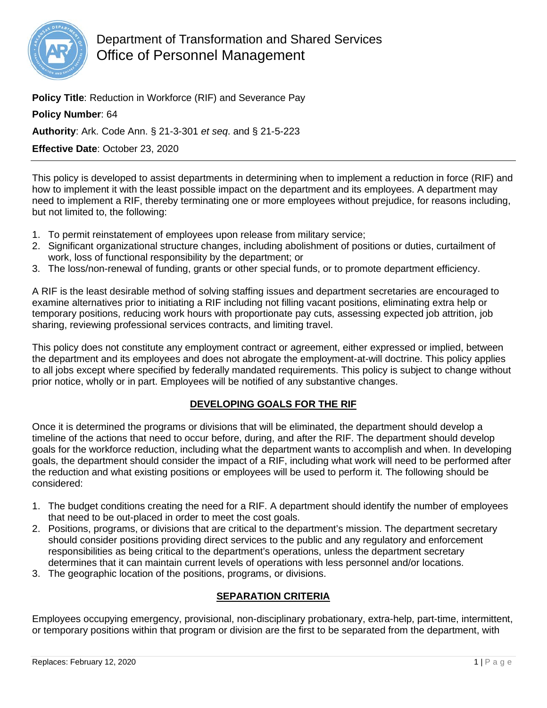

**Policy Title**: Reduction in Workforce (RIF) and Severance Pay

**Policy Number**: 64

**Authority**: Ark. Code Ann. § 21-3-301 *et seq*. and § 21-5-223

**Effective Date**: October 23, 2020

This policy is developed to assist departments in determining when to implement a reduction in force (RIF) and how to implement it with the least possible impact on the department and its employees. A department may need to implement a RIF, thereby terminating one or more employees without prejudice, for reasons including, but not limited to, the following:

- 1. To permit reinstatement of employees upon release from military service;
- 2. Significant organizational structure changes, including abolishment of positions or duties, curtailment of work, loss of functional responsibility by the department; or
- 3. The loss/non-renewal of funding, grants or other special funds, or to promote department efficiency.

A RIF is the least desirable method of solving staffing issues and department secretaries are encouraged to examine alternatives prior to initiating a RIF including not filling vacant positions, eliminating extra help or temporary positions, reducing work hours with proportionate pay cuts, assessing expected job attrition, job sharing, reviewing professional services contracts, and limiting travel.

This policy does not constitute any employment contract or agreement, either expressed or implied, between the department and its employees and does not abrogate the employment-at-will doctrine. This policy applies to all jobs except where specified by federally mandated requirements. This policy is subject to change without prior notice, wholly or in part. Employees will be notified of any substantive changes.

## **DEVELOPING GOALS FOR THE RIF**

Once it is determined the programs or divisions that will be eliminated, the department should develop a timeline of the actions that need to occur before, during, and after the RIF. The department should develop goals for the workforce reduction, including what the department wants to accomplish and when. In developing goals, the department should consider the impact of a RIF, including what work will need to be performed after the reduction and what existing positions or employees will be used to perform it. The following should be considered:

- 1. The budget conditions creating the need for a RIF. A department should identify the number of employees that need to be out-placed in order to meet the cost goals.
- 2. Positions, programs, or divisions that are critical to the department's mission. The department secretary should consider positions providing direct services to the public and any regulatory and enforcement responsibilities as being critical to the department's operations, unless the department secretary determines that it can maintain current levels of operations with less personnel and/or locations.
- 3. The geographic location of the positions, programs, or divisions.

## **SEPARATION CRITERIA**

Employees occupying emergency, provisional, non-disciplinary probationary, extra-help, part-time, intermittent, or temporary positions within that program or division are the first to be separated from the department, with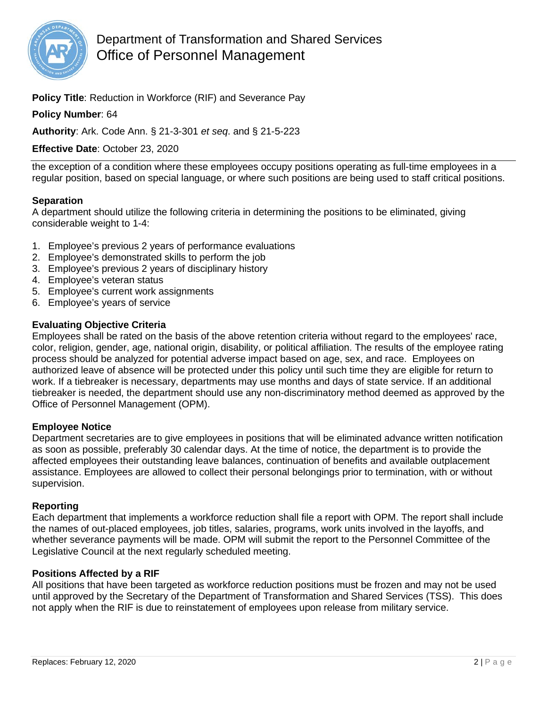

**Policy Title**: Reduction in Workforce (RIF) and Severance Pay

### **Policy Number**: 64

**Authority**: Ark. Code Ann. § 21-3-301 *et seq*. and § 21-5-223

**Effective Date**: October 23, 2020

the exception of a condition where these employees occupy positions operating as full-time employees in a regular position, based on special language, or where such positions are being used to staff critical positions.

### **Separation**

A department should utilize the following criteria in determining the positions to be eliminated, giving considerable weight to 1-4:

- 1. Employee's previous 2 years of performance evaluations
- 2. Employee's demonstrated skills to perform the job
- 3. Employee's previous 2 years of disciplinary history
- 4. Employee's veteran status
- 5. Employee's current work assignments
- 6. Employee's years of service

### **Evaluating Objective Criteria**

Employees shall be rated on the basis of the above retention criteria without regard to the employees' race, color, religion, gender, age, national origin, disability, or political affiliation. The results of the employee rating process should be analyzed for potential adverse impact based on age, sex, and race. Employees on authorized leave of absence will be protected under this policy until such time they are eligible for return to work. If a tiebreaker is necessary, departments may use months and days of state service. If an additional tiebreaker is needed, the department should use any non-discriminatory method deemed as approved by the Office of Personnel Management (OPM).

### **Employee Notice**

Department secretaries are to give employees in positions that will be eliminated advance written notification as soon as possible, preferably 30 calendar days. At the time of notice, the department is to provide the affected employees their outstanding leave balances, continuation of benefits and available outplacement assistance. Employees are allowed to collect their personal belongings prior to termination, with or without supervision.

### **Reporting**

Each department that implements a workforce reduction shall file a report with OPM. The report shall include the names of out-placed employees, job titles, salaries, programs, work units involved in the layoffs, and whether severance payments will be made. OPM will submit the report to the Personnel Committee of the Legislative Council at the next regularly scheduled meeting.

### **Positions Affected by a RIF**

All positions that have been targeted as workforce reduction positions must be frozen and may not be used until approved by the Secretary of the Department of Transformation and Shared Services (TSS). This does not apply when the RIF is due to reinstatement of employees upon release from military service.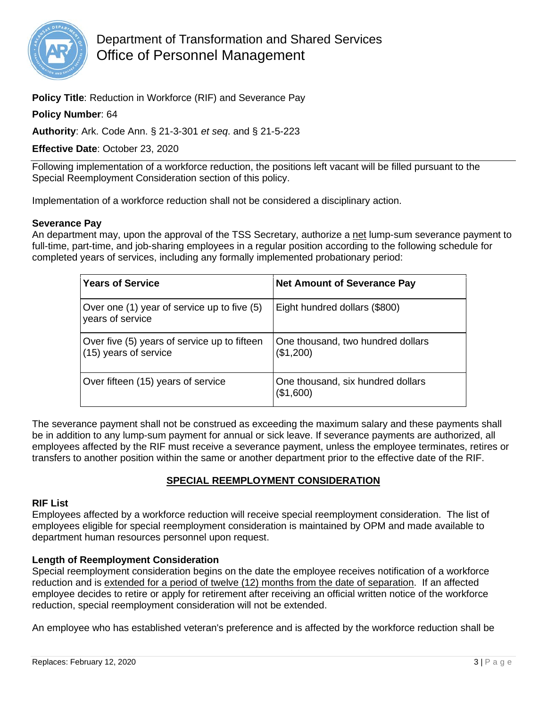

**Policy Title**: Reduction in Workforce (RIF) and Severance Pay

### **Policy Number**: 64

**Authority**: Ark. Code Ann. § 21-3-301 *et seq*. and § 21-5-223

**Effective Date**: October 23, 2020

Following implementation of a workforce reduction, the positions left vacant will be filled pursuant to the Special Reemployment Consideration section of this policy.

Implementation of a workforce reduction shall not be considered a disciplinary action.

### **Severance Pay**

An department may, upon the approval of the TSS Secretary, authorize a net lump-sum severance payment to full-time, part-time, and job-sharing employees in a regular position according to the following schedule for completed years of services, including any formally implemented probationary period:

| <b>Years of Service</b>                                                 | <b>Net Amount of Severance Pay</b>             |
|-------------------------------------------------------------------------|------------------------------------------------|
| Over one (1) year of service up to five (5)<br>years of service         | Eight hundred dollars (\$800)                  |
| Over five (5) years of service up to fifteen<br>$(15)$ years of service | One thousand, two hundred dollars<br>(\$1,200) |
| Over fifteen (15) years of service                                      | One thousand, six hundred dollars<br>(\$1,600) |

The severance payment shall not be construed as exceeding the maximum salary and these payments shall be in addition to any lump-sum payment for annual or sick leave. If severance payments are authorized, all employees affected by the RIF must receive a severance payment, unless the employee terminates, retires or transfers to another position within the same or another department prior to the effective date of the RIF.

## **SPECIAL REEMPLOYMENT CONSIDERATION**

#### **RIF List**

Employees affected by a workforce reduction will receive special reemployment consideration. The list of employees eligible for special reemployment consideration is maintained by OPM and made available to department human resources personnel upon request.

### **Length of Reemployment Consideration**

Special reemployment consideration begins on the date the employee receives notification of a workforce reduction and is extended for a period of twelve (12) months from the date of separation. If an affected employee decides to retire or apply for retirement after receiving an official written notice of the workforce reduction, special reemployment consideration will not be extended.

An employee who has established veteran's preference and is affected by the workforce reduction shall be